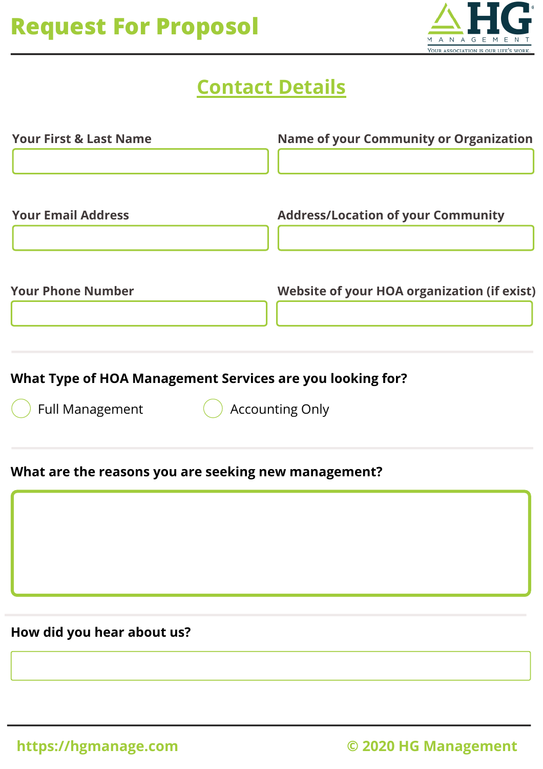

### **Contact Details**

| <b>Your First &amp; Last Name</b> | <b>Name of your Community or Organization</b>      |
|-----------------------------------|----------------------------------------------------|
| <b>Your Email Address</b>         | <b>Address/Location of your Community</b>          |
| <b>Your Phone Number</b>          | <b>Website of your HOA organization (if exist)</b> |
|                                   |                                                    |

#### **What Type of HOA Management Services are you looking for?**

Full Management **Accounting Only** 

#### **What are the reasons you are seeking new management?**

**How did you hear about us?**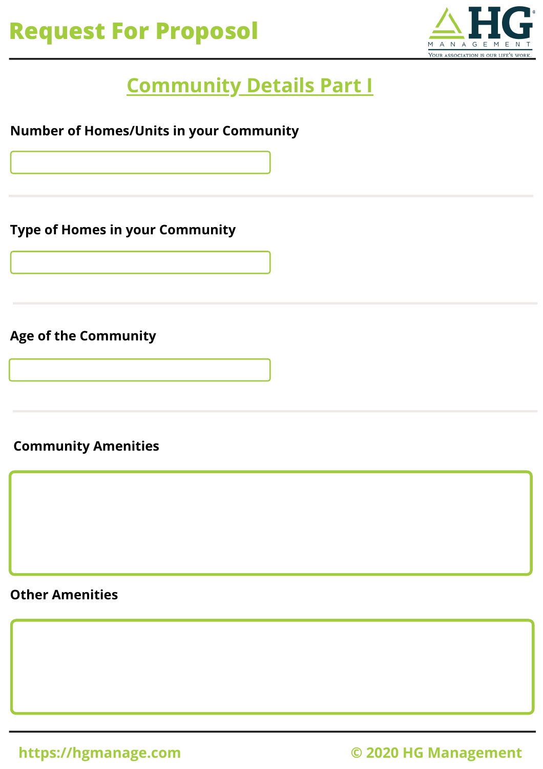

### **Community Details Part I**

**Number of Homes/Units in your Community**

**Type of Homes in your Community**

**Age of the Community**

**Community Amenities**

**Other Amenities**

**https://hgmanage.com © 2020 HG Management**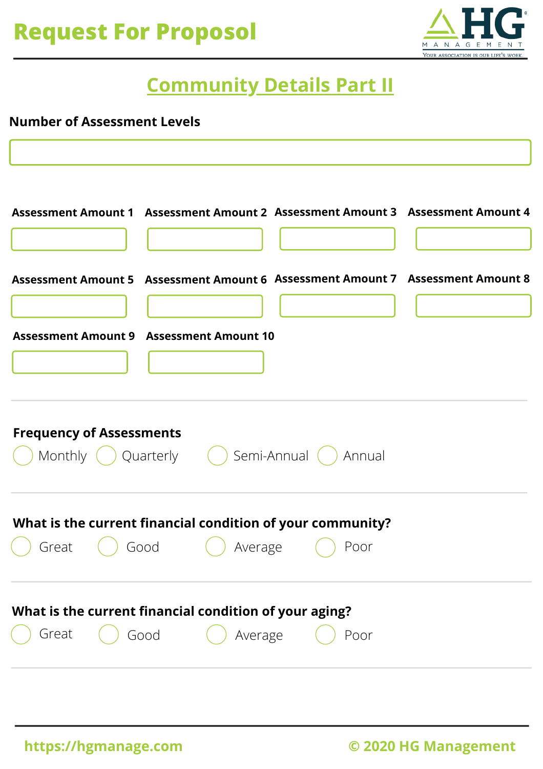

### **Community Details Part II**

#### **Number of Assessment Levels**

|                                          |      |                                                            |         |      | Assessment Amount 1 Assessment Amount 2 Assessment Amount 3 Assessment Amount 4 |  |  |  |
|------------------------------------------|------|------------------------------------------------------------|---------|------|---------------------------------------------------------------------------------|--|--|--|
|                                          |      |                                                            |         |      | Assessment Amount 5 Assessment Amount 6 Assessment Amount 7 Assessment Amount 8 |  |  |  |
| Assessment Amount 9 Assessment Amount 10 |      |                                                            |         |      |                                                                                 |  |  |  |
|                                          |      |                                                            |         |      |                                                                                 |  |  |  |
| <b>Frequency of Assessments</b>          |      | Monthly () Quarterly () Semi-Annual () Annual              |         |      |                                                                                 |  |  |  |
|                                          |      | What is the current financial condition of your community? |         |      |                                                                                 |  |  |  |
| Great                                    | Good |                                                            | Average | Poor |                                                                                 |  |  |  |
|                                          |      | What is the current financial condition of your aging?     |         |      |                                                                                 |  |  |  |